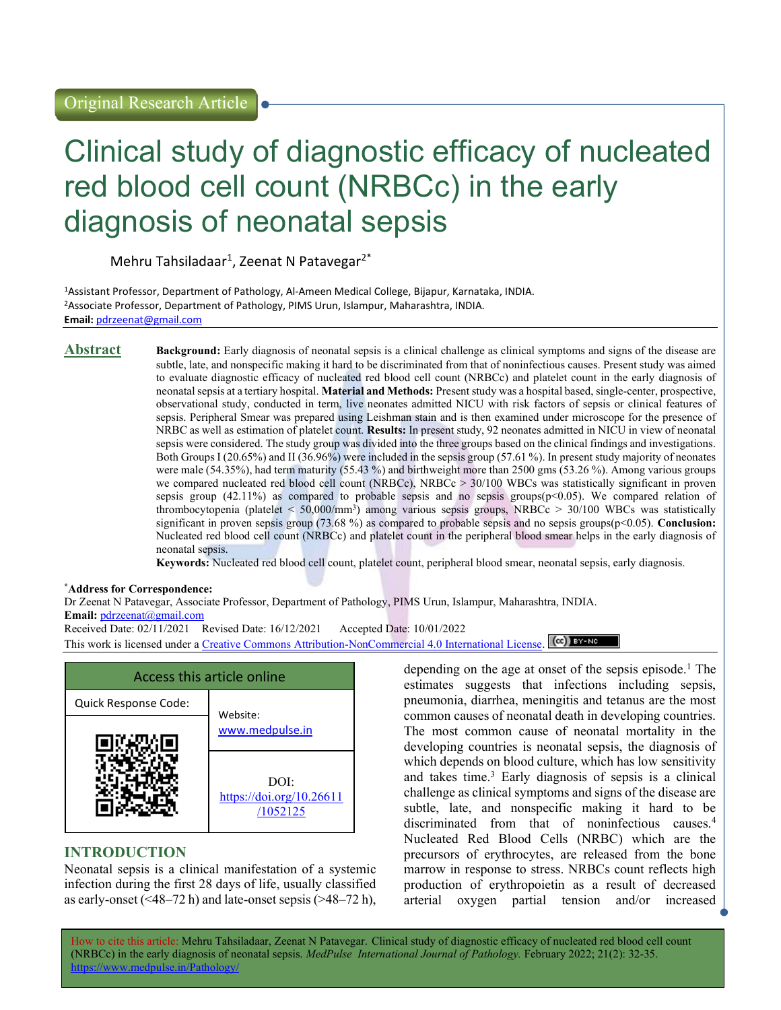# Clinical study of diagnostic efficacy of nucleated red blood cell count (NRBCc) in the early diagnosis of neonatal sepsis

Mehru Tahsiladaar<sup>1</sup>, Zeenat N Patavegar<sup>2\*</sup>

<sup>1</sup>Assistant Professor, Department of Pathology, Al-Ameen Medical College, Bijapur, Karnataka, INDIA. <sup>2</sup>Associate Professor, Department of Pathology, PIMS Urun, Islampur, Maharashtra, INDIA. Email: pdrzeenat@gmail.com

Abstract Background: Early diagnosis of neonatal sepsis is a clinical challenge as clinical symptoms and signs of the disease are subtle, late, and nonspecific making it hard to be discriminated from that of noninfectious causes. Present study was aimed to evaluate diagnostic efficacy of nucleated red blood cell count (NRBCc) and platelet count in the early diagnosis of neonatal sepsis at a tertiary hospital. Material and Methods: Present study was a hospital based, single-center, prospective, observational study, conducted in term, live neonates admitted NICU with risk factors of sepsis or clinical features of sepsis. Peripheral Smear was prepared using Leishman stain and is then examined under microscope for the presence of NRBC as well as estimation of platelet count. Results: In present study, 92 neonates admitted in NICU in view of neonatal sepsis were considered. The study group was divided into the three groups based on the clinical findings and investigations. Both Groups I (20.65%) and II (36.96%) were included in the sepsis group (57.61 %). In present study majority of neonates were male (54.35%), had term maturity (55.43 %) and birthweight more than 2500 gms (53.26 %). Among various groups we compared nucleated red blood cell count (NRBCc), NRBCc > 30/100 WBCs was statistically significant in proven sepsis group (42.11%) as compared to probable sepsis and no sepsis groups( $p<0.05$ ). We compared relation of thrombocytopenia (platelet < 50,000/mm<sup>3</sup> ) among various sepsis groups, NRBCc > 30/100 WBCs was statistically significant in proven sepsis group (73.68 %) as compared to probable sepsis and no sepsis groups(p<0.05). Conclusion: Nucleated red blood cell count (NRBCc) and platelet count in the peripheral blood smear helps in the early diagnosis of neonatal sepsis.

Keywords: Nucleated red blood cell count, platelet count, peripheral blood smear, neonatal sepsis, early diagnosis.

#### \*Address for Correspondence:

Dr Zeenat N Patavegar, Associate Professor, Department of Pathology, PIMS Urun, Islampur, Maharashtra, INDIA. Email: pdrzeenat@gmail.com Received Date: 02/11/2021 Revised Date: 16/12/2021 Accepted Date: 10/01/2022

This work is licensed under a Creative Commons Attribution-NonCommercial 4.0 International License.  $\overline{[\text{cc}]}$  BY-NC



# INTRODUCTION

Neonatal sepsis is a clinical manifestation of a systemic infection during the first 28 days of life, usually classified as early-onset  $(\leq 48-72 \text{ h})$  and late-onset sepsis  $(\geq 48-72 \text{ h})$ ,

depending on the age at onset of the sepsis episode.<sup>1</sup> The estimates suggests that infections including sepsis, pneumonia, diarrhea, meningitis and tetanus are the most common causes of neonatal death in developing countries. The most common cause of neonatal mortality in the developing countries is neonatal sepsis, the diagnosis of which depends on blood culture, which has low sensitivity and takes time.<sup>3</sup> Early diagnosis of sepsis is a clinical challenge as clinical symptoms and signs of the disease are subtle, late, and nonspecific making it hard to be discriminated from that of noninfectious causes.<sup>4</sup> Nucleated Red Blood Cells (NRBC) which are the precursors of erythrocytes, are released from the bone marrow in response to stress. NRBCs count reflects high production of erythropoietin as a result of decreased arterial oxygen partial tension and/or increased

How to cite this article: Mehru Tahsiladaar, Zeenat N Patavegar. Clinical study of diagnostic efficacy of nucleated red blood cell count (NRBCc) in the early diagnosis of neonatal sepsis. MedPulse International Journal of Pathology. February 2022; 21(2): 32-35. https://www.medpulse.in/Patholog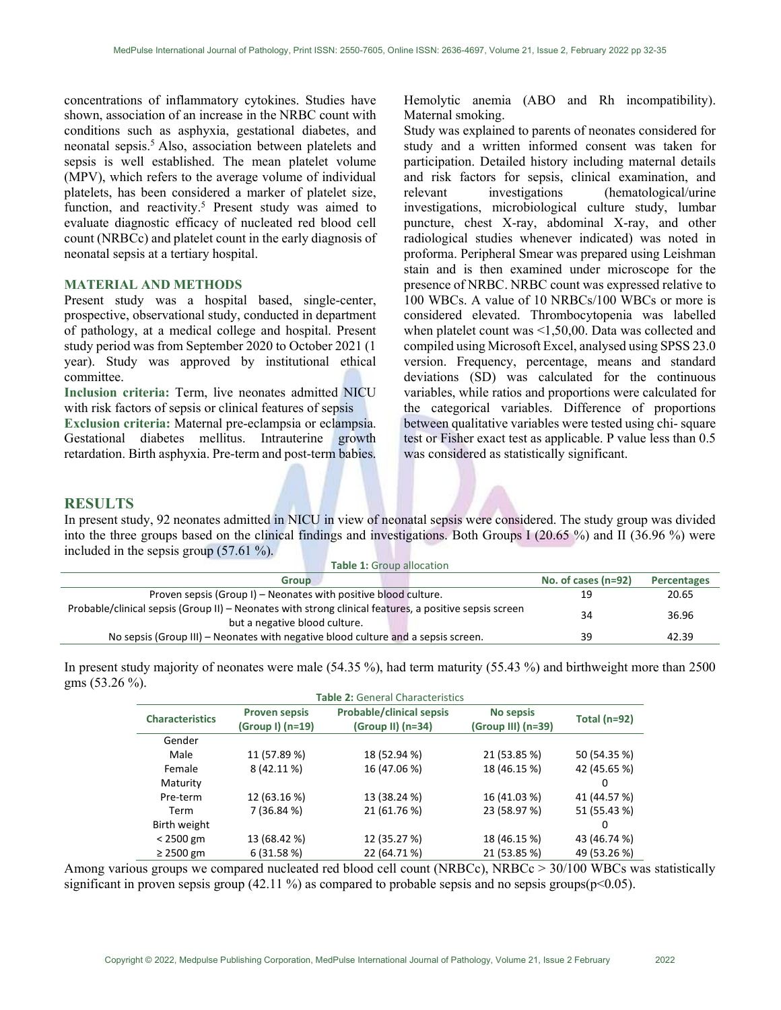concentrations of inflammatory cytokines. Studies have shown, association of an increase in the NRBC count with conditions such as asphyxia, gestational diabetes, and neonatal sepsis.<sup>5</sup> Also, association between platelets and sepsis is well established. The mean platelet volume (MPV), which refers to the average volume of individual platelets, has been considered a marker of platelet size, function, and reactivity.<sup>5</sup> Present study was aimed to evaluate diagnostic efficacy of nucleated red blood cell count (NRBCc) and platelet count in the early diagnosis of neonatal sepsis at a tertiary hospital.

#### MATERIAL AND METHODS

Present study was a hospital based, single-center, prospective, observational study, conducted in department of pathology, at a medical college and hospital. Present study period was from September 2020 to October 2021 (1 year). Study was approved by institutional ethical committee.

Inclusion criteria: Term, live neonates admitted NICU with risk factors of sepsis or clinical features of sepsis

Exclusion criteria: Maternal pre-eclampsia or eclampsia. Gestational diabetes mellitus. Intrauterine growth retardation. Birth asphyxia. Pre-term and post-term babies.

Hemolytic anemia (ABO and Rh incompatibility). Maternal smoking.

Study was explained to parents of neonates considered for study and a written informed consent was taken for participation. Detailed history including maternal details and risk factors for sepsis, clinical examination, and relevant investigations (hematological/urine investigations, microbiological culture study, lumbar puncture, chest X-ray, abdominal X-ray, and other radiological studies whenever indicated) was noted in proforma. Peripheral Smear was prepared using Leishman stain and is then examined under microscope for the presence of NRBC. NRBC count was expressed relative to 100 WBCs. A value of 10 NRBCs/100 WBCs or more is considered elevated. Thrombocytopenia was labelled when platelet count was <1,50,00. Data was collected and compiled using Microsoft Excel, analysed using SPSS 23.0 version. Frequency, percentage, means and standard deviations (SD) was calculated for the continuous variables, while ratios and proportions were calculated for the categorical variables. Difference of proportions between qualitative variables were tested using chi- square test or Fisher exact test as applicable. P value less than 0.5 was considered as statistically significant.

### RESULTS

In present study, 92 neonates admitted in NICU in view of neonatal sepsis were considered. The study group was divided into the three groups based on the clinical findings and investigations. Both Groups I (20.65 %) and II (36.96 %) were included in the sepsis group (57.61 %).

| <b>Table 1: Group allocation</b>                                                                                                        |                       |                    |  |  |  |  |  |
|-----------------------------------------------------------------------------------------------------------------------------------------|-----------------------|--------------------|--|--|--|--|--|
| <b>Group</b>                                                                                                                            | No. of cases $(n=92)$ | <b>Percentages</b> |  |  |  |  |  |
| Proven sepsis (Group I) – Neonates with positive blood culture.                                                                         | 19                    | 20.65              |  |  |  |  |  |
| Probable/clinical sepsis (Group II) – Neonates with strong clinical features, a positive sepsis screen<br>but a negative blood culture. | 34                    | 36.96              |  |  |  |  |  |
| No sepsis (Group III) – Neonates with negative blood culture and a sepsis screen.                                                       | 39                    | 42.39              |  |  |  |  |  |

In present study majority of neonates were male (54.35 %), had term maturity (55.43 %) and birthweight more than 2500 gms (53.26 %).

| <b>Table 2:</b> General Characteristics |                      |                                 |                    |                |  |
|-----------------------------------------|----------------------|---------------------------------|--------------------|----------------|--|
| <b>Characteristics</b>                  | <b>Proven sepsis</b> | <b>Probable/clinical sepsis</b> | <b>No sepsis</b>   | Total $(n=92)$ |  |
|                                         | (Group I) (n=19)     | $(Group II)$ (n=34)             | (Group III) (n=39) |                |  |
| Gender                                  |                      |                                 |                    |                |  |
| Male                                    | 11 (57.89 %)         | 18 (52.94 %)                    | 21 (53.85 %)       | 50 (54.35 %)   |  |
| Female                                  | 8 (42.11 %)          | 16 (47.06 %)                    | 18 (46.15 %)       | 42 (45.65 %)   |  |
| Maturity                                |                      |                                 |                    | 0              |  |
| Pre-term                                | 12 (63.16 %)         | 13 (38.24 %)                    | 16 (41.03 %)       | 41 (44.57 %)   |  |
| Term                                    | 7 (36.84 %)          | 21 (61.76 %)                    | 23 (58.97 %)       | 51 (55.43 %)   |  |
| Birth weight                            |                      |                                 |                    | 0              |  |
| $< 2500$ gm                             | 13 (68.42 %)         | 12 (35.27 %)                    | 18 (46.15 %)       | 43 (46.74 %)   |  |
| $\geq$ 2500 gm                          | 6(31.58%)            | 22 (64.71 %)                    | 21 (53.85 %)       | 49 (53.26 %)   |  |

Among various groups we compared nucleated red blood cell count (NRBCc), NRBCc > 30/100 WBCs was statistically significant in proven sepsis group (42.11 %) as compared to probable sepsis and no sepsis groups( $p<0.05$ ).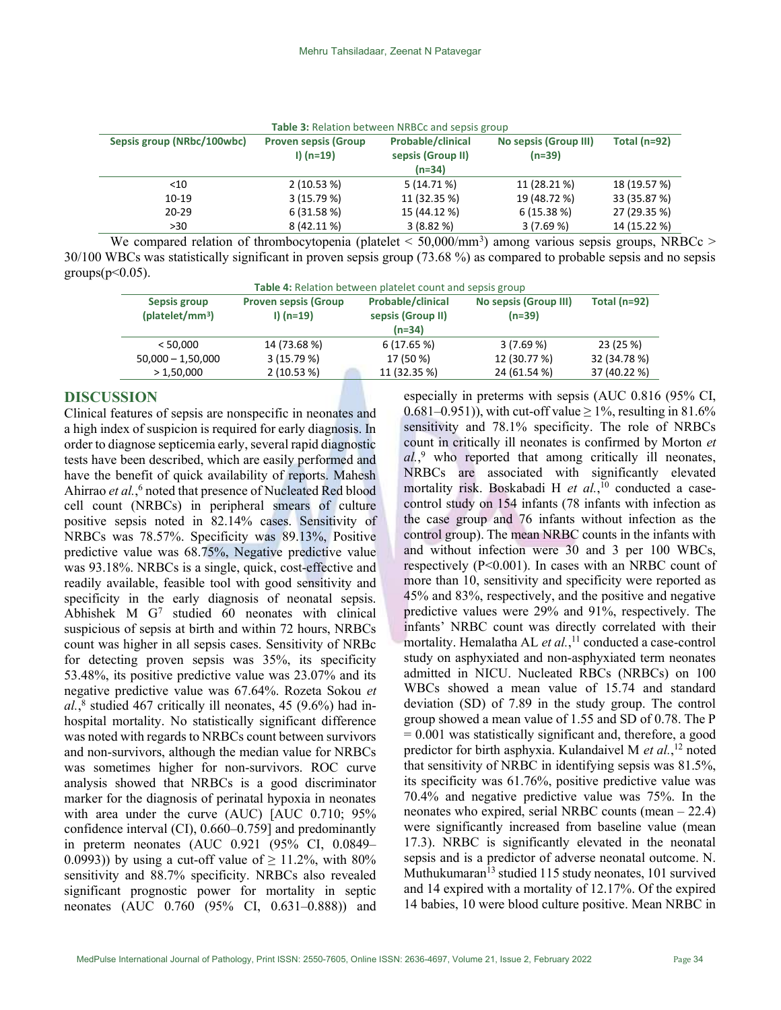| Table 3: Relation between NRBCc and sepsis group |                                            |                                                    |                                   |                |  |
|--------------------------------------------------|--------------------------------------------|----------------------------------------------------|-----------------------------------|----------------|--|
| Sepsis group (NRbc/100wbc)                       | <b>Proven sepsis (Group</b><br>$I)$ (n=19) | Probable/clinical<br>sepsis (Group II)<br>$(n=34)$ | No sepsis (Group III)<br>$(n=39)$ | Total $(n=92)$ |  |
| $<$ 10                                           | 2(10.53%)                                  | 5(14.71%)                                          | 11 (28.21 %)                      | 18 (19.57 %)   |  |
| $10-19$                                          | 3(15.79%)                                  | 11 (32.35 %)                                       | 19 (48.72 %)                      | 33 (35.87 %)   |  |
| $20 - 29$                                        | 6(31.58%)                                  | 15 (44.12 %)                                       | 6(15.38%)                         | 27 (29.35 %)   |  |
| >30                                              | 8 (42.11 %)                                | 3(8.82%)                                           | 3(7.69%)                          | 14 (15.22 %)   |  |

We compared relation of thrombocytopenia (platelet  $\leq 50,000/\text{mm}^3$ ) among various sepsis groups, NRBCc  $\geq$ 30/100 WBCs was statistically significant in proven sepsis group (73.68 %) as compared to probable sepsis and no sepsis  $groups(p<0.05)$ .

| Table 4: Relation between platelet count and sepsis group |                                            |                                                    |                                   |                |  |
|-----------------------------------------------------------|--------------------------------------------|----------------------------------------------------|-----------------------------------|----------------|--|
| Sepsis group<br>(platelet/mm <sup>3</sup> )               | <b>Proven sepsis (Group</b><br>$I)$ (n=19) | Probable/clinical<br>sepsis (Group II)<br>$(n=34)$ | No sepsis (Group III)<br>$(n=39)$ | Total $(n=92)$ |  |
| < 50.000                                                  | 14 (73.68 %)                               | 6(17.65%)                                          | 3(7.69%)                          | 23 (25 %)      |  |
| $50,000 - 1,50,000$                                       | 3(15.79%)                                  | 17 (50 %)                                          | 12 (30.77 %)                      | 32 (34.78 %)   |  |
| >1,50,000                                                 | 2(10.53%)                                  | 11 (32.35 %)                                       | 24 (61.54 %)                      | 37 (40.22 %)   |  |

## DISCUSSION

Clinical features of sepsis are nonspecific in neonates and a high index of suspicion is required for early diagnosis. In order to diagnose septicemia early, several rapid diagnostic tests have been described, which are easily performed and have the benefit of quick availability of reports. Mahesh Ahirrao et al.,<sup>6</sup> noted that presence of Nucleated Red blood cell count (NRBCs) in peripheral smears of culture positive sepsis noted in 82.14% cases. Sensitivity of NRBCs was 78.57%. Specificity was 89.13%, Positive predictive value was 68.75%, Negative predictive value was 93.18%. NRBCs is a single, quick, cost-effective and readily available, feasible tool with good sensitivity and specificity in the early diagnosis of neonatal sepsis. Abhishek M G<sup>7</sup> studied 60 neonates with clinical suspicious of sepsis at birth and within 72 hours, NRBCs count was higher in all sepsis cases. Sensitivity of NRBc for detecting proven sepsis was 35%, its specificity 53.48%, its positive predictive value was 23.07% and its negative predictive value was 67.64%. Rozeta Sokou et  $al.^8$  studied 467 critically ill neonates, 45 (9.6%) had inhospital mortality. No statistically significant difference was noted with regards to NRBCs count between survivors and non-survivors, although the median value for NRBCs was sometimes higher for non-survivors. ROC curve analysis showed that NRBCs is a good discriminator marker for the diagnosis of perinatal hypoxia in neonates with area under the curve (AUC) [AUC 0.710; 95% confidence interval (CI), 0.660–0.759] and predominantly in preterm neonates (AUC 0.921 (95% CI, 0.0849– 0.0993)) by using a cut-off value of  $\geq$  11.2%, with 80% sensitivity and 88.7% specificity. NRBCs also revealed significant prognostic power for mortality in septic neonates (AUC 0.760 (95% CI, 0.631–0.888)) and

especially in preterms with sepsis (AUC 0.816 (95% CI, 0.681–0.951)), with cut-off value  $\geq 1\%$ , resulting in 81.6% sensitivity and 78.1% specificity. The role of NRBCs count in critically ill neonates is confirmed by Morton et  $al$ ,<sup>9</sup> who reported that among critically ill neonates, NRBCs are associated with significantly elevated mortality risk. Boskabadi H et al.,<sup>10</sup> conducted a casecontrol study on 154 infants (78 infants with infection as the case group and 76 infants without infection as the control group). The mean NRBC counts in the infants with and without infection were 30 and 3 per 100 WBCs, respectively (P<0.001). In cases with an NRBC count of more than 10, sensitivity and specificity were reported as 45% and 83%, respectively, and the positive and negative predictive values were 29% and 91%, respectively. The infants' NRBC count was directly correlated with their mortality. Hemalatha AL et al.,<sup>11</sup> conducted a case-control study on asphyxiated and non-asphyxiated term neonates admitted in NICU. Nucleated RBCs (NRBCs) on 100 WBCs showed a mean value of 15.74 and standard deviation (SD) of 7.89 in the study group. The control group showed a mean value of 1.55 and SD of 0.78. The P  $= 0.001$  was statistically significant and, therefore, a good predictor for birth asphyxia. Kulandaivel M et al.,<sup>12</sup> noted that sensitivity of NRBC in identifying sepsis was 81.5%, its specificity was 61.76%, positive predictive value was 70.4% and negative predictive value was 75%. In the neonates who expired, serial NRBC counts (mean – 22.4) were significantly increased from baseline value (mean 17.3). NRBC is significantly elevated in the neonatal sepsis and is a predictor of adverse neonatal outcome. N. Muthukumaran<sup>13</sup> studied 115 study neonates, 101 survived and 14 expired with a mortality of 12.17%. Of the expired 14 babies, 10 were blood culture positive. Mean NRBC in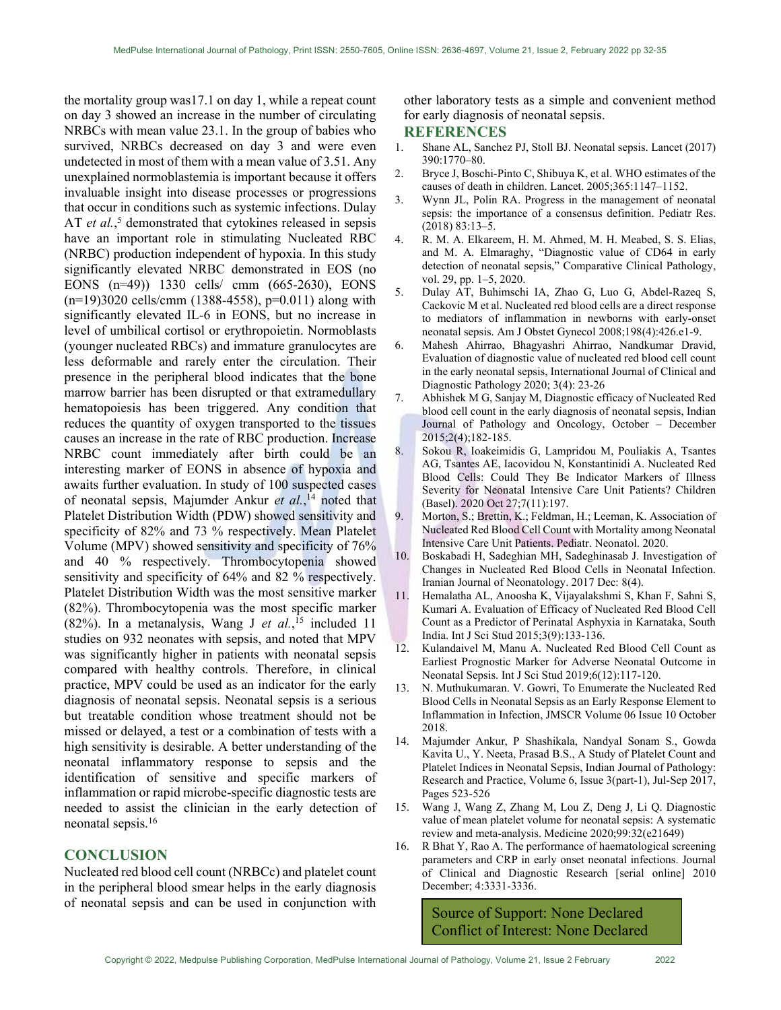the mortality group was17.1 on day 1, while a repeat count on day 3 showed an increase in the number of circulating NRBCs with mean value 23.1. In the group of babies who survived, NRBCs decreased on day 3 and were even undetected in most of them with a mean value of 3.51. Any unexplained normoblastemia is important because it offers invaluable insight into disease processes or progressions that occur in conditions such as systemic infections. Dulay AT et al.,<sup>5</sup> demonstrated that cytokines released in sepsis have an important role in stimulating Nucleated RBC (NRBC) production independent of hypoxia. In this study significantly elevated NRBC demonstrated in EOS (no EONS (n=49)) 1330 cells/ cmm (665-2630), EONS  $(n=19)3020$  cells/cmm (1388-4558), p=0.011) along with significantly elevated IL-6 in EONS, but no increase in level of umbilical cortisol or erythropoietin. Normoblasts (younger nucleated RBCs) and immature granulocytes are less deformable and rarely enter the circulation. Their presence in the peripheral blood indicates that the bone marrow barrier has been disrupted or that extramedullary hematopoiesis has been triggered. Any condition that reduces the quantity of oxygen transported to the tissues causes an increase in the rate of RBC production. Increase NRBC count immediately after birth could be an interesting marker of EONS in absence of hypoxia and awaits further evaluation. In study of 100 suspected cases of neonatal sepsis, Majumder Ankur et al.,<sup>14</sup> noted that Platelet Distribution Width (PDW) showed sensitivity and specificity of 82% and 73 % respectively. Mean Platelet Volume (MPV) showed sensitivity and specificity of 76% and 40 % respectively. Thrombocytopenia showed sensitivity and specificity of 64% and 82 % respectively. Platelet Distribution Width was the most sensitive marker (82%). Thrombocytopenia was the most specific marker (82%). In a metanalysis, Wang J et  $al$ , <sup>15</sup> included 11 studies on 932 neonates with sepsis, and noted that MPV was significantly higher in patients with neonatal sepsis compared with healthy controls. Therefore, in clinical practice, MPV could be used as an indicator for the early diagnosis of neonatal sepsis. Neonatal sepsis is a serious but treatable condition whose treatment should not be missed or delayed, a test or a combination of tests with a high sensitivity is desirable. A better understanding of the neonatal inflammatory response to sepsis and the identification of sensitive and specific markers of inflammation or rapid microbe-specific diagnostic tests are needed to assist the clinician in the early detection of neonatal sepsis.<sup>16</sup>

# **CONCLUSION**

Nucleated red blood cell count (NRBCc) and platelet count in the peripheral blood smear helps in the early diagnosis of neonatal sepsis and can be used in conjunction with other laboratory tests as a simple and convenient method for early diagnosis of neonatal sepsis.

#### **REFERENCES**

- 1. Shane AL, Sanchez PJ, Stoll BJ. Neonatal sepsis. Lancet (2017) 390:1770–80.
- 2. Bryce J, Boschi-Pinto C, Shibuya K, et al. WHO estimates of the causes of death in children. Lancet. 2005;365:1147–1152.
- 3. Wynn JL, Polin RA. Progress in the management of neonatal sepsis: the importance of a consensus definition. Pediatr Res. (2018) 83:13–5.
- 4. R. M. A. Elkareem, H. M. Ahmed, M. H. Meabed, S. S. Elias, and M. A. Elmaraghy, "Diagnostic value of CD64 in early detection of neonatal sepsis," Comparative Clinical Pathology, vol. 29, pp. 1–5, 2020.
- 5. Dulay AT, Buhimschi IA, Zhao G, Luo G, Abdel-Razeq S, Cackovic M et al. Nucleated red blood cells are a direct response to mediators of inflammation in newborns with early-onset neonatal sepsis. Am J Obstet Gynecol 2008;198(4):426.e1-9.
- 6. Mahesh Ahirrao, Bhagyashri Ahirrao, Nandkumar Dravid, Evaluation of diagnostic value of nucleated red blood cell count in the early neonatal sepsis, International Journal of Clinical and Diagnostic Pathology 2020; 3(4): 23-26
- 7. Abhishek M G, Sanjay M, Diagnostic efficacy of Nucleated Red blood cell count in the early diagnosis of neonatal sepsis, Indian Journal of Pathology and Oncology, October – December 2015;2(4);182-185.
- 8. Sokou R, Ioakeimidis G, Lampridou M, Pouliakis A, Tsantes AG, Tsantes AE, Iacovidou N, Konstantinidi A. Nucleated Red Blood Cells: Could They Be Indicator Markers of Illness Severity for Neonatal Intensive Care Unit Patients? Children (Basel). 2020 Oct 27;7(11):197.
- 9. Morton, S.; Brettin, K.; Feldman, H.; Leeman, K. Association of Nucleated Red Blood Cell Count with Mortality among Neonatal Intensive Care Unit Patients. Pediatr. Neonatol. 2020.
- 10. Boskabadi H, Sadeghian MH, Sadeghinasab J. Investigation of Changes in Nucleated Red Blood Cells in Neonatal Infection. Iranian Journal of Neonatology. 2017 Dec: 8(4).
- 11. Hemalatha AL, Anoosha K, Vijayalakshmi S, Khan F, Sahni S, Kumari A. Evaluation of Efficacy of Nucleated Red Blood Cell Count as a Predictor of Perinatal Asphyxia in Karnataka, South India. Int J Sci Stud 2015;3(9):133-136.
- 12. Kulandaivel M, Manu A. Nucleated Red Blood Cell Count as Earliest Prognostic Marker for Adverse Neonatal Outcome in Neonatal Sepsis. Int J Sci Stud 2019;6(12):117-120.
- 13. N. Muthukumaran. V. Gowri, To Enumerate the Nucleated Red Blood Cells in Neonatal Sepsis as an Early Response Element to Inflammation in Infection, JMSCR Volume 06 Issue 10 October 2018.
- 14. Majumder Ankur, P Shashikala, Nandyal Sonam S., Gowda Kavita U., Y. Neeta, Prasad B.S., A Study of Platelet Count and Platelet Indices in Neonatal Sepsis, Indian Journal of Pathology: Research and Practice, Volume 6, Issue 3(part-1), Jul-Sep 2017, Pages 523-526
- 15. Wang J, Wang Z, Zhang M, Lou Z, Deng J, Li Q. Diagnostic value of mean platelet volume for neonatal sepsis: A systematic review and meta-analysis. Medicine 2020;99:32(e21649)
- 16. R Bhat Y, Rao A. The performance of haematological screening parameters and CRP in early onset neonatal infections. Journal of Clinical and Diagnostic Research [serial online] 2010 December; 4:3331-3336.

Source of Support: None Declared Conflict of Interest: None Declared